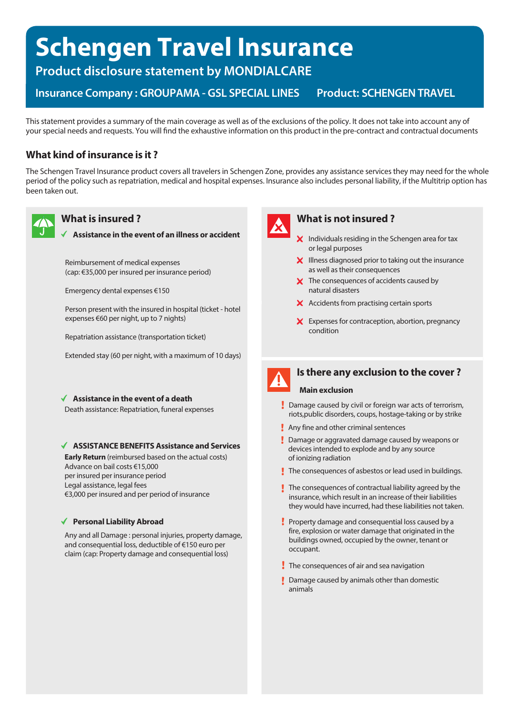# **Schengen Travel Insurance**

**Product disclosure statement by MONDIALCARE**

**Insurance Company: GROUPAMA - GSL SPECIAL LINES Product: SCHENGEN TRAVEL** 

This statement provides a summary of the main coverage as well as of the exclusions of the policy. It does not take into account any of your special needs and requests. You will find the exhaustive information on this product in the pre-contract and contractual documents

### **What kind of insurance is it ?**

The Schengen Travel Insurance product covers all travelers in Schengen Zone, provides any assistance services they may need for the whole period of the policy such as repatriation, medical and hospital expenses. Insurance also includes personal liability, if the Multitrip option has been taken out.



### **What is insured ?**

#### **Assistance in the event of an illness or accident**

Reimbursement of medical expenses (cap: €35,000 per insured per insurance period)

Emergency dental expenses €150

Person present with the insured in hospital (ticket - hotel expenses €60 per night, up to 7 nights)

Repatriation assistance (transportation ticket)

Extended stay (60 per night, with a maximum of 10 days)

#### **Assistance in the event of a death**

Death assistance: Repatriation, funeral expenses

#### **ASSISTANCE BENEFITS Assistance and Services**

**Early Return** (reimbursed based on the actual costs) Advance on bail costs €15,000 per insured per insurance period Legal assistance, legal fees €3,000 per insured and per period of insurance

#### **Personal Liability Abroad**

Any and all Damage : personal injuries, property damage, and consequential loss, deductible of €150 euro per claim (cap: Property damage and consequential loss)



#### **What is not insured ?**

- $\boldsymbol{\times}$  Individuals residing in the Schengen area for tax or legal purposes
- $\boldsymbol{\mathsf{X}}$  Illness diagnosed prior to taking out the insurance as well as their consequences
- X The consequences of accidents caused by natural disasters
- $\boldsymbol{\times}$  Accidents from practising certain sports
- X Expenses for contraception, abortion, pregnancy condition



## **Is there any exclusion to the cover ?**

#### **Main exclusion**

- Damage caused by civil or foreign war acts of terrorism, riots,public disorders, coups, hostage-taking or by strike
- **Any fine and other criminal sentences**
- **Damage or aggravated damage caused by weapons or** devices intended to explode and by any source of ionizing radiation
- The consequences of asbestos or lead used in buildings.
- $\mathbf I$  The consequences of contractual liability agreed by the insurance, which result in an increase of their liabilities they would have incurred, had these liabilities not taken.
- Property damage and consequential loss caused by a fire, explosion or water damage that originated in the buildings owned, occupied by the owner, tenant or occupant.
- The consequences of air and sea navigation
- **Damage caused by animals other than domestic** animals